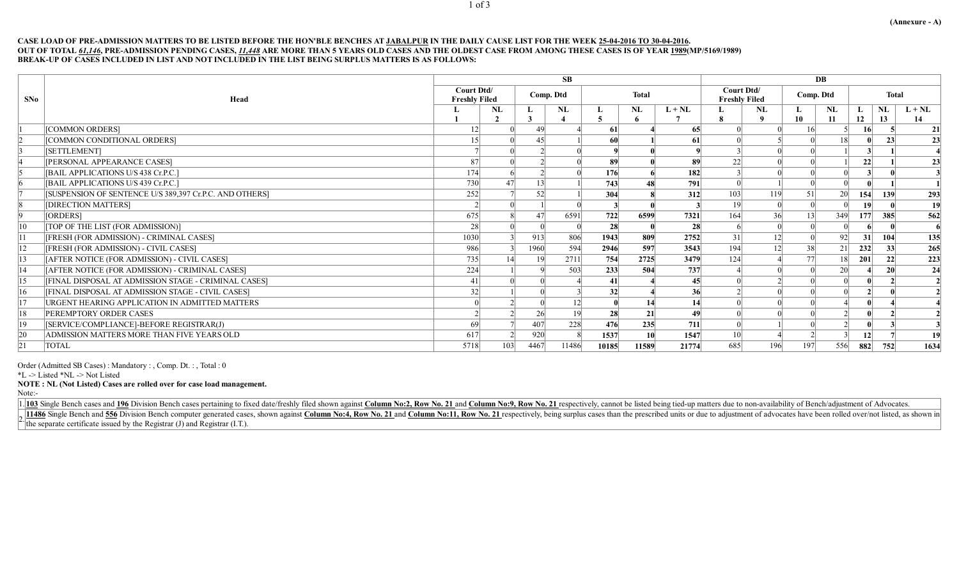## CASE LOAD OF PRE-ADMISSION MATTERS TO BE LISTED BEFORE THE HON'BLE BENCHES AT JABALPUR IN THE DAILY CAUSE LIST FOR THE WEEK 25-04-2016 TO 30-04-2016. OUT OF TOTAL *61,146*, PRE-ADMISSION PENDING CASES, *11,448* ARE MORE THAN 5 YEARS OLD CASES AND THE OLDEST CASE FROM AMONG THESE CASES IS OF YEAR 1989(MP/5169/1989) BREAK-UP OF CASES INCLUDED IN LIST AND NOT INCLUDED IN THE LIST BEING SURPLUS MATTERS IS AS FOLLOWS:

|     |                                                         | SB                                 |     |           |       |              |       |            |                                    | DB          |            |                 |                 |                 |                |  |  |
|-----|---------------------------------------------------------|------------------------------------|-----|-----------|-------|--------------|-------|------------|------------------------------------|-------------|------------|-----------------|-----------------|-----------------|----------------|--|--|
| SNo | Head                                                    | Court Dtd/<br><b>Freshly Filed</b> |     | Comp. Dtd |       | <b>Total</b> |       |            | Court Dtd/<br><b>Freshly Filed</b> |             | Comp. Dtd  |                 | <b>Total</b>    |                 |                |  |  |
|     |                                                         |                                    | NL  | Ъ.        | NL    |              | NL    | $L + NL$   |                                    | NL          | L<br>10    | NL<br>11        | L.<br>12        | NL<br>13        | $L + NL$<br>14 |  |  |
|     | [COMMON ORDERS]                                         |                                    |     | 49        |       | -61          |       | 65         |                                    |             |            |                 |                 |                 | 21             |  |  |
|     | [COMMON CONDITIONAL ORDERS]                             | $15$                               |     | 45        |       | 60           |       | -61        |                                    |             |            | 8               |                 | 23 <sup>l</sup> | 23             |  |  |
|     | [SETTLEMENT]                                            |                                    |     |           |       |              |       |            |                                    |             |            |                 |                 |                 |                |  |  |
|     | [PERSONAL APPEARANCE CASES]                             | 87                                 |     |           |       | 89           |       | 89         | 22                                 |             |            |                 | 22              |                 | 23             |  |  |
|     | [BAIL APPLICATIONS U/S 438 Cr.P.C.]                     | 174                                |     |           |       | 176          |       | <b>182</b> |                                    |             |            |                 |                 |                 |                |  |  |
|     | [BAIL APPLICATIONS U/S 439 Cr.P.C.]                     | 730                                |     | 3         |       | 743          |       | <b>791</b> |                                    |             |            |                 |                 |                 |                |  |  |
|     | [SUSPENSION OF SENTENCE U/S 389,397 Cr.P.C. AND OTHERS] | 252                                |     | 52        |       | 304          |       | 312        | 103                                | 119         | 51         | 20 <sup>l</sup> | 154             | <b>139</b>      | 293            |  |  |
|     | [DIRECTION MATTERS]                                     |                                    |     |           |       |              |       |            | 19 <sup>°</sup>                    |             |            |                 | 19              |                 | 19             |  |  |
|     | [ORDERS]                                                | 675                                |     | 47        | 6591  | 722          | 6599  | 7321       | 164                                | 36          | 13         | 349             | 177             | 385             | 562            |  |  |
| 10  | [TOP OF THE LIST (FOR ADMISSION)]                       | 28                                 |     |           |       | 28           |       | <b>28</b>  |                                    |             |            |                 |                 |                 |                |  |  |
|     | [FRESH (FOR ADMISSION) - CRIMINAL CASES]                | 1030                               |     | 913       | 806   | 1943         | 809   | 2752       | 31                                 | 12          |            | 92              | 31              | 104             | 135            |  |  |
| 12  | [FRESH (FOR ADMISSION) - CIVIL CASES]                   | 986                                |     | 1960      | 594   | 2946         | 597   | 3543       | 194                                | $ 2\rangle$ | 38         | 21              | 232             | 33 <sup>1</sup> | 265            |  |  |
| 13  | [AFTER NOTICE (FOR ADMISSION) - CIVIL CASES]            | 735                                |     | 19        | 2711  | 754          | 2725  | 3479       | 124                                |             | 77         | 18 <sup>l</sup> | 201             | 22              | 223            |  |  |
| 14  | [AFTER NOTICE (FOR ADMISSION) - CRIMINAL CASES]         | 224                                |     |           | 503   | 233          | 504   | 737        |                                    |             |            | 20 <sup>l</sup> |                 |                 | 24             |  |  |
| 15  | [FINAL DISPOSAL AT ADMISSION STAGE - CRIMINAL CASES]    |                                    |     |           |       | 41           |       | 45         |                                    |             |            |                 |                 |                 |                |  |  |
| 16  | [FINAL DISPOSAL AT ADMISSION STAGE - CIVIL CASES]       | 32                                 |     |           |       | 32           |       | 36         |                                    |             |            |                 |                 |                 |                |  |  |
| 17  | URGENT HEARING APPLICATION IN ADMITTED MATTERS          |                                    |     |           |       |              |       | 14         |                                    |             |            |                 |                 |                 |                |  |  |
| 18  | PEREMPTORY ORDER CASES                                  |                                    |     | 26        |       | 28           | 21    | 49         |                                    |             |            |                 |                 |                 |                |  |  |
| 19  | [SERVICE/COMPLIANCE]-BEFORE REGISTRAR(J)                | 69                                 |     | 407       | 228   | 476          | 235   | <b>711</b> |                                    |             |            |                 |                 |                 |                |  |  |
| 20  | ADMISSION MATTERS MORE THAN FIVE YEARS OLD              | 617                                |     | 920       |       | 1537         | 10    | 1547       | 10 <sup>l</sup>                    |             |            |                 | 12 <sup>l</sup> |                 | 19             |  |  |
| 21  | <b>TOTAL</b>                                            | 5718                               | 103 | 4467      | 11486 | 10185        | 11589 | 21774      | 685                                | 196         | <b>197</b> | 556             | 882             | 752             | 1634           |  |  |

Order (Admitted SB Cases) : Mandatory : , Comp. Dt. : , Total : 0

\*L -> Listed \*NL -> Not Listed

NOTE : NL (Not Listed) Cases are rolled over for case load management.

Note:-

1. 103 Single Bench cases and 196 Division Bench cases pertaining to fixed date/freshly filed shown against Column No:2, Row No. 21 and Column No:9, Row No. 21 respectively, cannot be listed being tied-up matters due to no

11486 Single Bench and 556 Division Bench computer generated cases, shown against Column No:4, Row No. 21 and Column No:11, Row No. 21 respectively, being surplus cases than the prescribed units or due to adjustment of adv  $t$  the separate certificate issued by the Registrar (J) and Registrar (I.T.).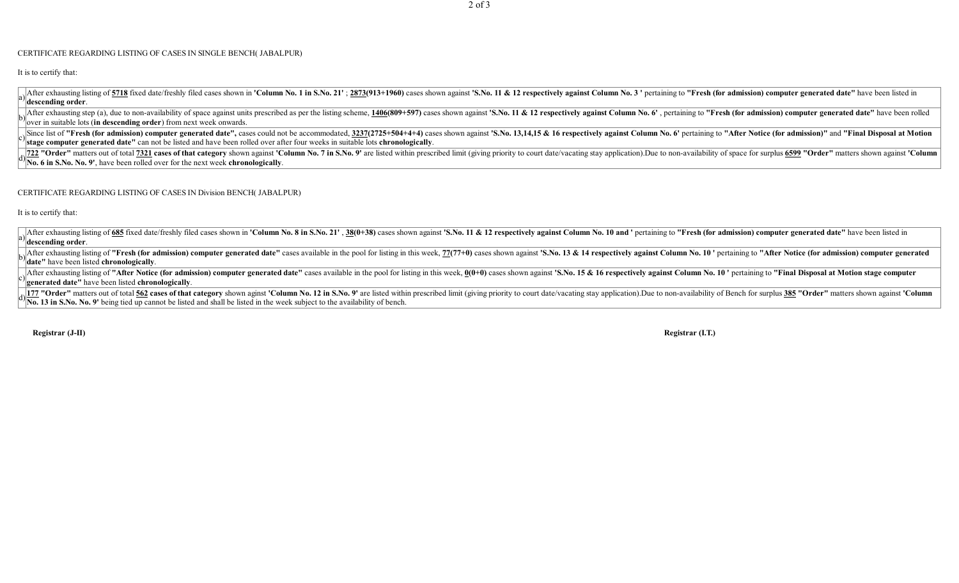## CERTIFICATE REGARDING LISTING OF CASES IN SINGLE BENCH( JABALPUR)

It is to certify that:

After exhausting listing of 5718 fixed date/freshly filed cases shown in 'Column No. 1 in S.No. 21'; 2873(913+1960) cases shown against 'S.No. 11 & 12 respectively against Column No. 3' pertaining to "Fresh (for admission) descending order.

After exhausting step (a), due to non-availability of space against units prescribed as per the listing scheme, 1406(809+597) cases shown against 'S.No. 11 & 12 respectively against Column No. 6', pertaining to "Fresh (for  $\%$  over in suitable lots (in descending order) from next week onwards.

Since list of "Fresh (for admission) computer generated date", cases could not be accommodated, 3237(2725+504+4+4) cases shown against 'S. No. 13,14,15 & 16 respectively against Column No. 6' pertaining to "After Notice (f  $\mathbf{z}^{\prime}$  stage computer generated date" can not be listed and have been rolled over after four weeks in suitable lots chronologically.

722 "Order" matters out of total 7321 cases of that category shown against 'Column No. 7 in S.No. 9' are listed within prescribed limit (giving priority to court date/vacating stay application). Due to non-availability of No. 6 in S.No. No. 9', have been rolled over for the next week chronologically

## CERTIFICATE REGARDING LISTING OF CASES IN Division BENCH( JABALPUR)

It is to certify that:

After exhausting listing of 685 fixed date/freshly filed cases shown in 'Column No. 8 in S.No. 21', 38(0+38) cases shown against 'S.No. 11 & 12 respectively against Column No. 10 and ' pertaining to "Fresh (for admission) descending order.

After exhausting listing of "Fresh (for admission) computer generated date" cases available in the pool for listing in this week, 77(77+0) cases shown against 'S.No. 13 & 14 respectively against Column No. 10 ' pertaining <sup>'</sup>date" have been listed chronologically.

After exhausting listing of "After Notice (for admission) computer generated date" cases available in the pool for listing in this week,  $0(0+0)$  cases shown against 'S.No. 15 & 16 respectively against Column No. 10' pert generated date" have been listed chronologically.

177 "Order" matters out of total 562 cases of that category shown aginst 'Column No. 12 in S.No. 9' are listed within prescribed limit (giving priority to court date/vacating stay application). Due to non-availability of B No. 13 in S.No. No. 9' being tied up cannot be listed and shall be listed in the week subject to the availability of bench.

Registrar (J-II) Registrar (I.T.)